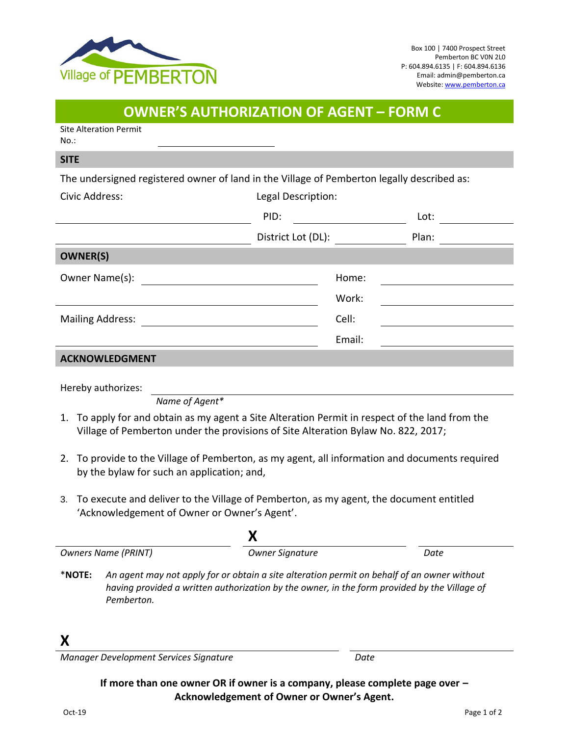

## **OWNER'S AUTHORIZATION OF AGENT – FORM C**

Site Alteration Permit No.:

#### **SITE**

The undersigned registered owner of land in the Village of Pemberton legally described as:

| Civic Address:          | Legal Description: |       |
|-------------------------|--------------------|-------|
|                         | PID:               | Lot:  |
|                         | District Lot (DL): | Plan: |
| <b>OWNER(S)</b>         |                    |       |
| Owner Name(s):          | Home:              |       |
|                         | Work:              |       |
| <b>Mailing Address:</b> | Cell:              |       |
|                         | Email:             |       |
| ACKNOWLEDGMENT          |                    |       |

#### **ACKINOWLEDGIVIENT**

Hereby authorizes:

*Name of Agent\**

- 1. To apply for and obtain as my agent a Site Alteration Permit in respect of the land from the Village of Pemberton under the provisions of Site Alteration Bylaw No. 822, 2017;
- 2. To provide to the Village of Pemberton, as my agent, all information and documents required by the bylaw for such an application; and,
- 3. To execute and deliver to the Village of Pemberton, as my agent, the document entitled 'Acknowledgement of Owner or Owner's Agent'.

|           | <b>Owners Name (PRINT)</b> | <b>Owner Signature</b>                                                                                                                                                                      | Date |  |
|-----------|----------------------------|---------------------------------------------------------------------------------------------------------------------------------------------------------------------------------------------|------|--|
| $*$ NOTE: | Pemberton.                 | An agent may not apply for or obtain a site alteration permit on behalf of an owner without<br>having provided a written authorization by the owner, in the form provided by the Village of |      |  |
|           |                            |                                                                                                                                                                                             |      |  |

*Manager Development Services Signature Date*

### **If more than one owner OR if owner is a company, please complete page over – Acknowledgement of Owner or Owner's Agent.**